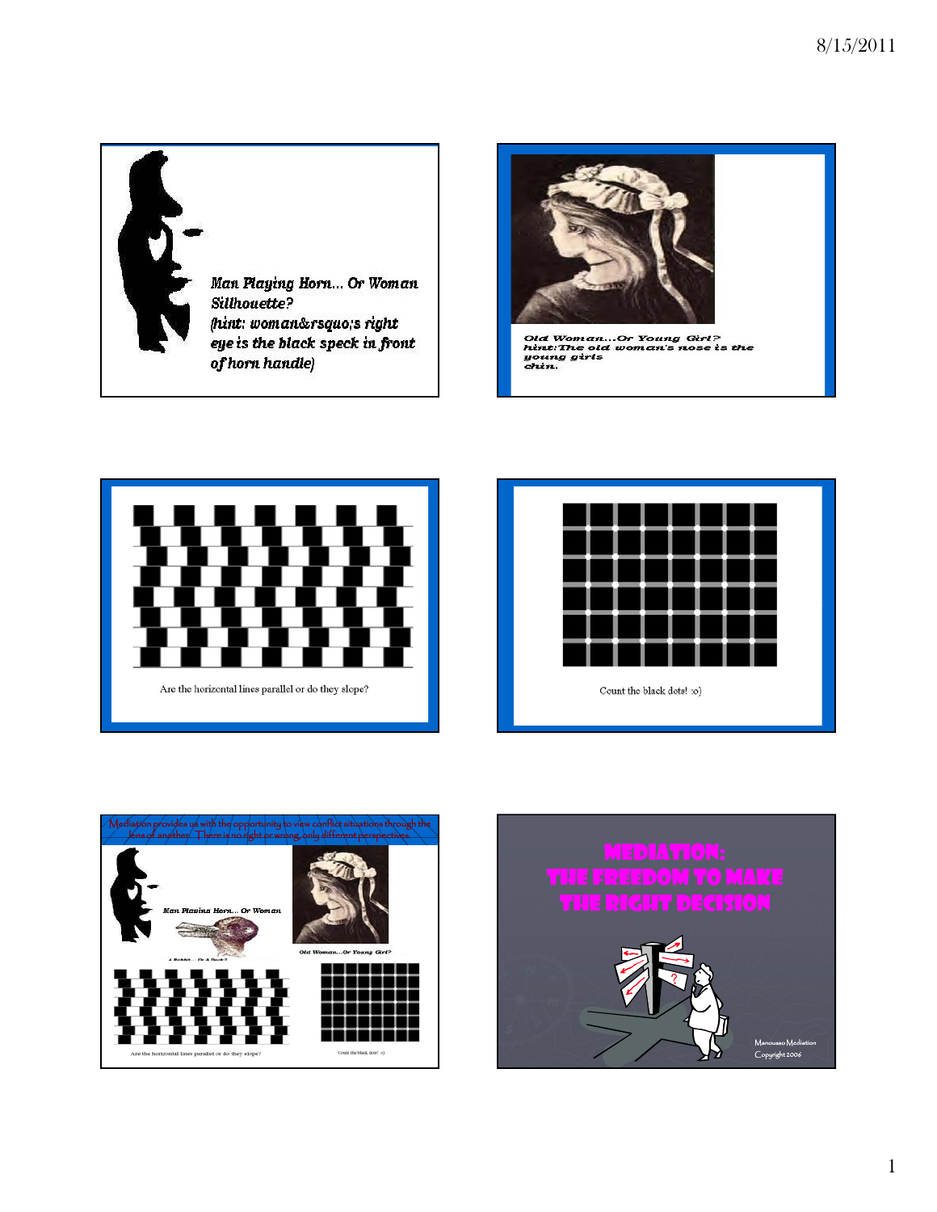



Old Woman...Or Young Girl?<br>hint:The old woman's nose is the<br>young girls







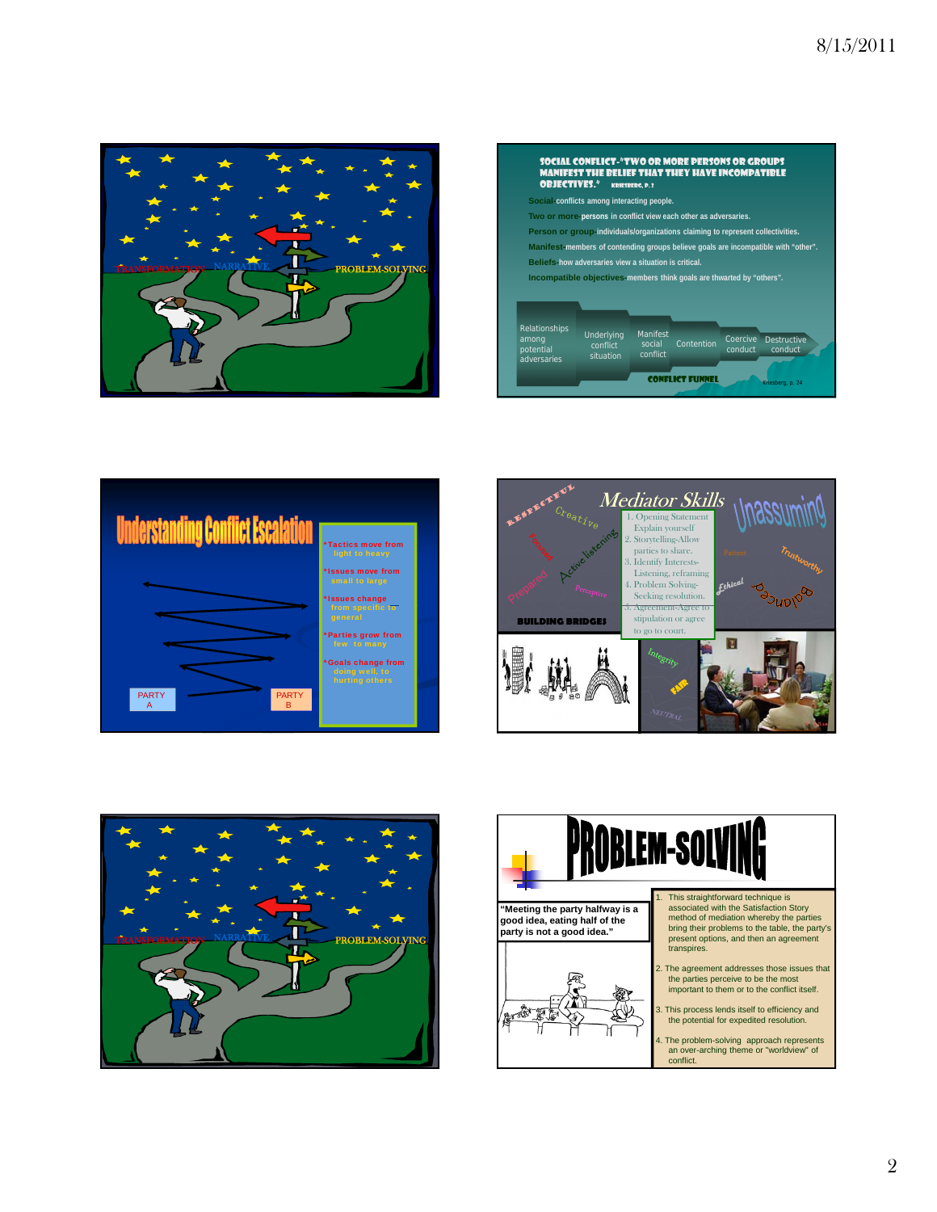









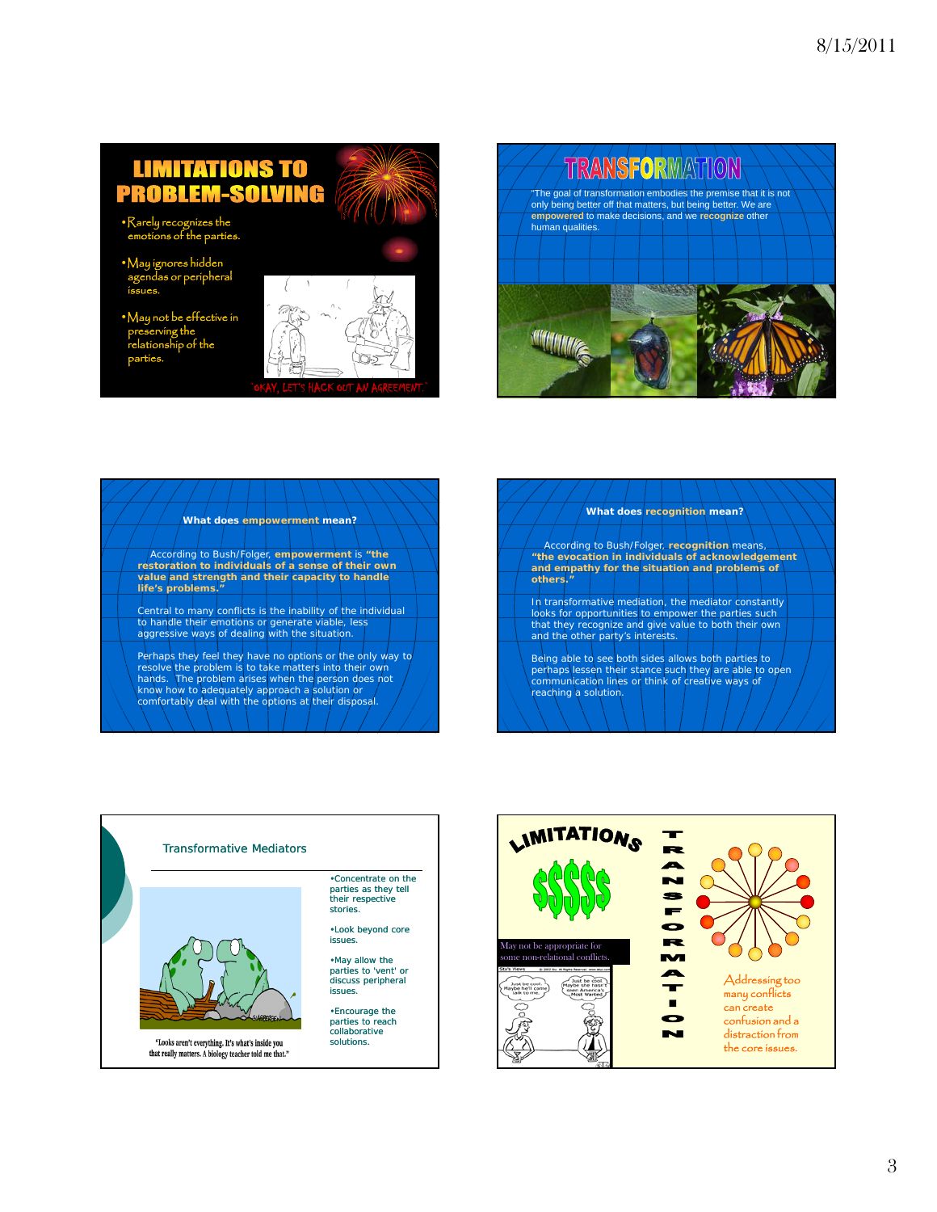## **LIMITATIONS TO PROBLEM-SOLVING**

- •Rarely recognizes the emotions of the parties.
- •May ignores hidden agendas or peripheral issues.
- $\mathsf{A}$ ive in preserving the relationship of the parties.